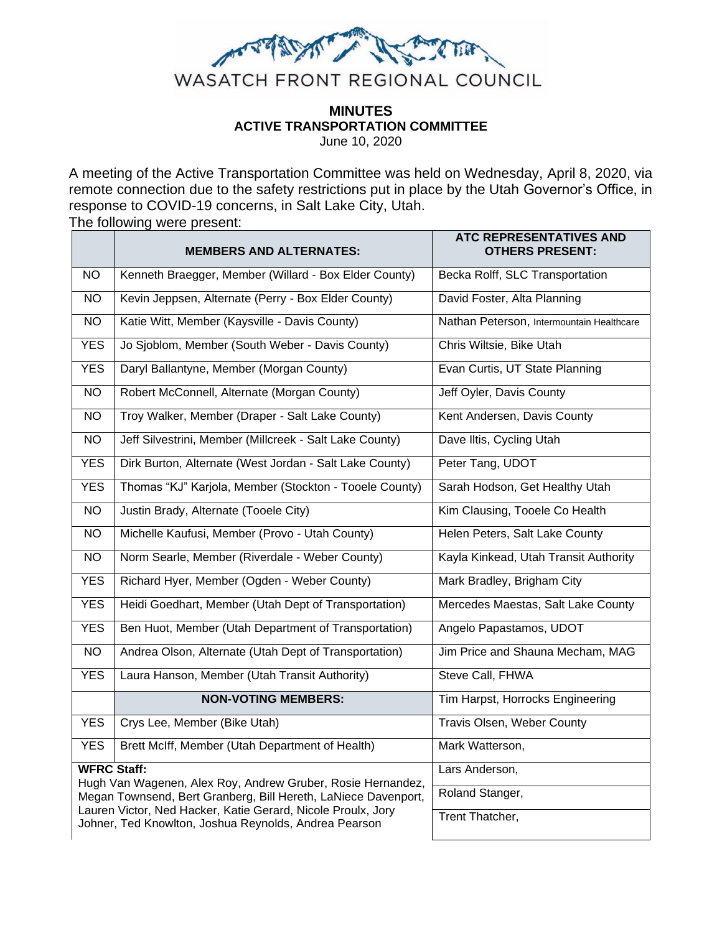

# **MINUTES ACTIVE TRANSPORTATION COMMITTEE**

June 10, 2020

A meeting of the Active Transportation Committee was held on Wednesday, April 8, 2020, via remote connection due to the safety restrictions put in place by the Utah Governor's Office, in response to COVID-19 concerns, in Salt Lake City, Utah.

The following were present:

|                                                                                                                       | <b>MEMBERS AND ALTERNATES:</b>                          | ATC REPRESENTATIVES AND<br><b>OTHERS PRESENT:</b> |
|-----------------------------------------------------------------------------------------------------------------------|---------------------------------------------------------|---------------------------------------------------|
| NO.                                                                                                                   | Kenneth Braegger, Member (Willard - Box Elder County)   | Becka Rolff, SLC Transportation                   |
| NO.                                                                                                                   | Kevin Jeppsen, Alternate (Perry - Box Elder County)     | David Foster, Alta Planning                       |
| NO.                                                                                                                   | Katie Witt, Member (Kaysville - Davis County)           | Nathan Peterson, Intermountain Healthcare         |
| <b>YES</b>                                                                                                            | Jo Sjoblom, Member (South Weber - Davis County)         | Chris Wiltsie, Bike Utah                          |
| <b>YES</b>                                                                                                            | Daryl Ballantyne, Member (Morgan County)                | Evan Curtis, UT State Planning                    |
| <b>NO</b>                                                                                                             | Robert McConnell, Alternate (Morgan County)             | Jeff Oyler, Davis County                          |
| <b>NO</b>                                                                                                             | Troy Walker, Member (Draper - Salt Lake County)         | Kent Andersen, Davis County                       |
| <b>NO</b>                                                                                                             | Jeff Silvestrini, Member (Millcreek - Salt Lake County) | Dave Iltis, Cycling Utah                          |
| <b>YES</b>                                                                                                            | Dirk Burton, Alternate (West Jordan - Salt Lake County) | Peter Tang, UDOT                                  |
| <b>YES</b>                                                                                                            | Thomas "KJ" Karjola, Member (Stockton - Tooele County)  | Sarah Hodson, Get Healthy Utah                    |
| <b>NO</b>                                                                                                             | Justin Brady, Alternate (Tooele City)                   | Kim Clausing, Tooele Co Health                    |
| <b>NO</b>                                                                                                             | Michelle Kaufusi, Member (Provo - Utah County)          | Helen Peters, Salt Lake County                    |
| <b>NO</b>                                                                                                             | Norm Searle, Member (Riverdale - Weber County)          | Kayla Kinkead, Utah Transit Authority             |
| <b>YES</b>                                                                                                            | Richard Hyer, Member (Ogden - Weber County)             | Mark Bradley, Brigham City                        |
| <b>YES</b>                                                                                                            | Heidi Goedhart, Member (Utah Dept of Transportation)    | Mercedes Maestas, Salt Lake County                |
| <b>YES</b>                                                                                                            | Ben Huot, Member (Utah Department of Transportation)    | Angelo Papastamos, UDOT                           |
| <b>NO</b>                                                                                                             | Andrea Olson, Alternate (Utah Dept of Transportation)   | Jim Price and Shauna Mecham, MAG                  |
| <b>YES</b>                                                                                                            | Laura Hanson, Member (Utah Transit Authority)           | Steve Call, FHWA                                  |
|                                                                                                                       | <b>NON-VOTING MEMBERS:</b>                              | Tim Harpst, Horrocks Engineering                  |
| <b>YES</b>                                                                                                            | Crys Lee, Member (Bike Utah)                            | Travis Olsen, Weber County                        |
| <b>YES</b>                                                                                                            | Brett McIff, Member (Utah Department of Health)         | Mark Watterson,                                   |
| <b>WFRC Staff:</b><br>Hugh Van Wagenen, Alex Roy, Andrew Gruber, Rosie Hernandez,                                     |                                                         | Lars Anderson,                                    |
| Megan Townsend, Bert Granberg, Bill Hereth, LaNiece Davenport,                                                        |                                                         | Roland Stanger,                                   |
| Lauren Victor, Ned Hacker, Katie Gerard, Nicole Proulx, Jory<br>Johner, Ted Knowlton, Joshua Reynolds, Andrea Pearson |                                                         | Trent Thatcher,                                   |
|                                                                                                                       |                                                         |                                                   |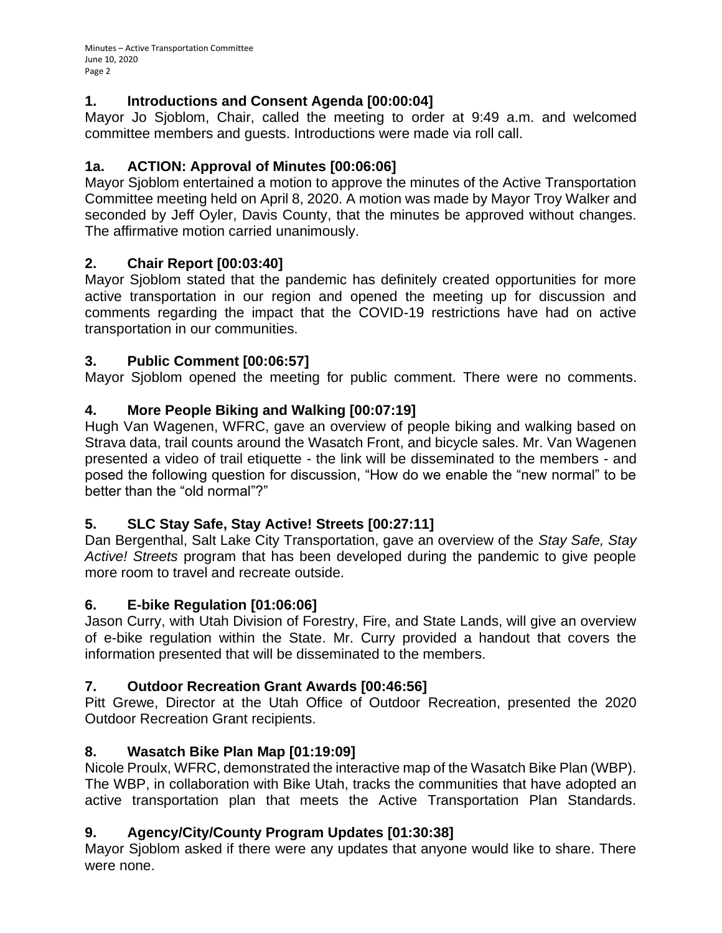#### **1. Introductions and Consent Agenda [00:00:04]**

Mayor Jo Sjoblom, Chair, called the meeting to order at 9:49 a.m. and welcomed committee members and guests. Introductions were made via roll call.

#### **1a. ACTION: Approval of Minutes [00:06:06]**

Mayor Sjoblom entertained a motion to approve the minutes of the Active Transportation Committee meeting held on April 8, 2020. A motion was made by Mayor Troy Walker and seconded by Jeff Oyler, Davis County, that the minutes be approved without changes. The affirmative motion carried unanimously.

#### **2. Chair Report [00:03:40]**

Mayor Sjoblom stated that the pandemic has definitely created opportunities for more active transportation in our region and opened the meeting up for discussion and comments regarding the impact that the COVID-19 restrictions have had on active transportation in our communities.

### **3. Public Comment [00:06:57]**

Mayor Sjoblom opened the meeting for public comment. There were no comments.

### **4. More People Biking and Walking [00:07:19]**

Hugh Van Wagenen, WFRC, gave an overview of people biking and walking based on Strava data, trail counts around the Wasatch Front, and bicycle sales. Mr. Van Wagenen presented a video of trail etiquette - the link will be disseminated to the members - and posed the following question for discussion, "How do we enable the "new normal" to be better than the "old normal"?"

## **5. SLC Stay Safe, Stay Active! Streets [00:27:11]**

Dan Bergenthal, Salt Lake City Transportation, gave an overview of the *Stay Safe, Stay Active! Streets* program that has been developed during the pandemic to give people more room to travel and recreate outside.

#### **6. E-bike Regulation [01:06:06]**

Jason Curry, with Utah Division of Forestry, Fire, and State Lands, will give an overview of e-bike regulation within the State. Mr. Curry provided a handout that covers the information presented that will be disseminated to the members.

## **7. Outdoor Recreation Grant Awards [00:46:56]**

Pitt Grewe, Director at the Utah Office of Outdoor Recreation, presented the 2020 Outdoor Recreation Grant recipients.

## **8. Wasatch Bike Plan Map [01:19:09]**

Nicole Proulx, WFRC, demonstrated the interactive map of the Wasatch Bike Plan (WBP). The WBP, in collaboration with Bike Utah, tracks the communities that have adopted an active transportation plan that meets the Active Transportation Plan Standards.

## **9. Agency/City/County Program Updates [01:30:38]**

Mayor Sjoblom asked if there were any updates that anyone would like to share. There were none.